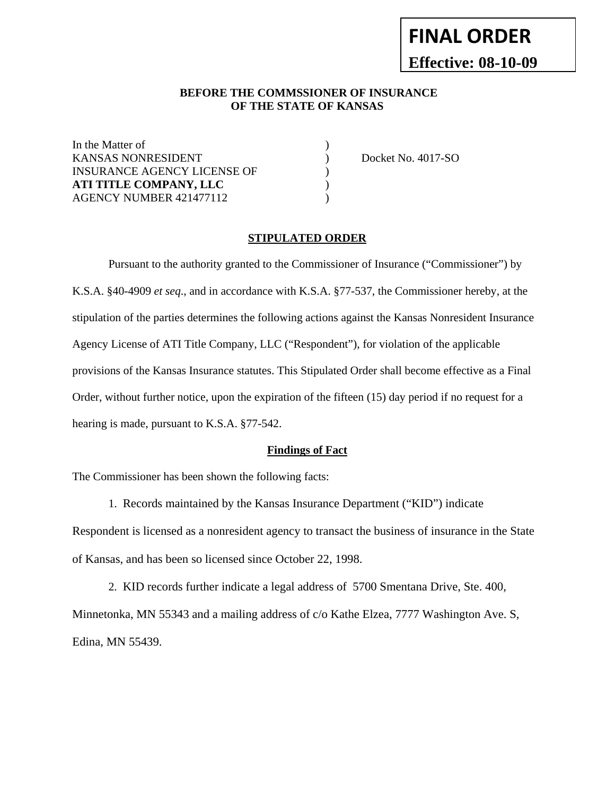# **FINAL ORDER Effective: 08-10-09**

#### **BEFORE THE COMMSSIONER OF INSURANCE OF THE STATE OF KANSAS**

In the Matter of KANSAS NONRESIDENT  $\rule{1em}{0.15mm}$  Docket No. 4017-SO INSURANCE AGENCY LICENSE OF  $\hspace{2cm}$ **ATI TITLE COMPANY, LLC** ) AGENCY NUMBER 421477112 (a)

#### **STIPULATED ORDER**

Pursuant to the authority granted to the Commissioner of Insurance ("Commissioner") by K.S.A. §40-4909 *et seq*., and in accordance with K.S.A. §77-537, the Commissioner hereby, at the stipulation of the parties determines the following actions against the Kansas Nonresident Insurance Agency License of ATI Title Company, LLC ("Respondent"), for violation of the applicable provisions of the Kansas Insurance statutes. This Stipulated Order shall become effective as a Final Order, without further notice, upon the expiration of the fifteen (15) day period if no request for a hearing is made, pursuant to K.S.A. §77-542.

#### **Findings of Fact**

The Commissioner has been shown the following facts:

1. Records maintained by the Kansas Insurance Department ("KID") indicate

Respondent is licensed as a nonresident agency to transact the business of insurance in the State of Kansas, and has been so licensed since October 22, 1998.

 2. KID records further indicate a legal address of 5700 Smentana Drive, Ste. 400, Minnetonka, MN 55343 and a mailing address of c/o Kathe Elzea, 7777 Washington Ave. S, Edina, MN 55439.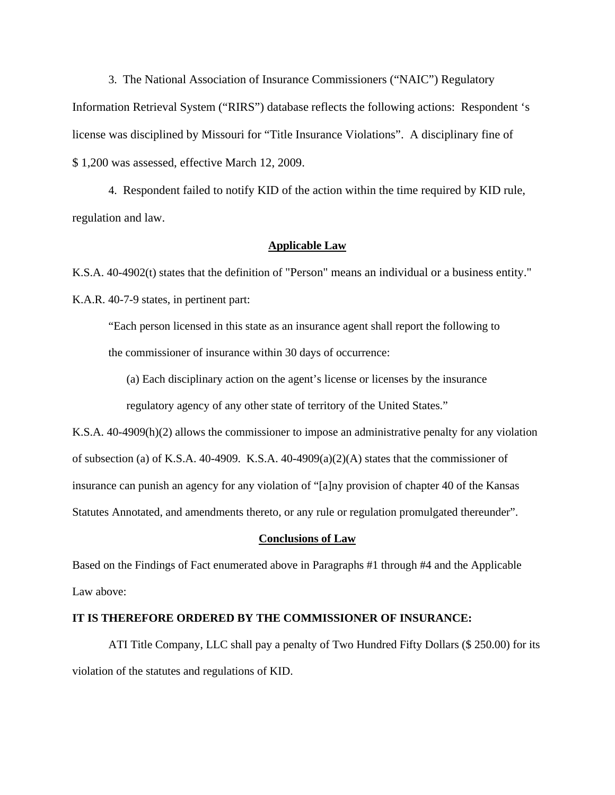3. The National Association of Insurance Commissioners ("NAIC") Regulatory Information Retrieval System ("RIRS") database reflects the following actions: Respondent 's license was disciplined by Missouri for "Title Insurance Violations". A disciplinary fine of \$ 1,200 was assessed, effective March 12, 2009.

 4. Respondent failed to notify KID of the action within the time required by KID rule, regulation and law.

#### **Applicable Law**

K.S.A. 40-4902(t) states that the definition of "Person" means an individual or a business entity." K.A.R. 40-7-9 states, in pertinent part:

"Each person licensed in this state as an insurance agent shall report the following to the commissioner of insurance within 30 days of occurrence:

(a) Each disciplinary action on the agent's license or licenses by the insurance regulatory agency of any other state of territory of the United States."

K.S.A. 40-4909(h)(2) allows the commissioner to impose an administrative penalty for any violation of subsection (a) of K.S.A.  $40-4909$ . K.S.A.  $40-4909(a)(2)(A)$  states that the commissioner of insurance can punish an agency for any violation of "[a]ny provision of chapter 40 of the Kansas Statutes Annotated, and amendments thereto, or any rule or regulation promulgated thereunder".

#### **Conclusions of Law**

Based on the Findings of Fact enumerated above in Paragraphs #1 through #4 and the Applicable Law above:

#### **IT IS THEREFORE ORDERED BY THE COMMISSIONER OF INSURANCE:**

 ATI Title Company, LLC shall pay a penalty of Two Hundred Fifty Dollars (\$ 250.00) for its violation of the statutes and regulations of KID.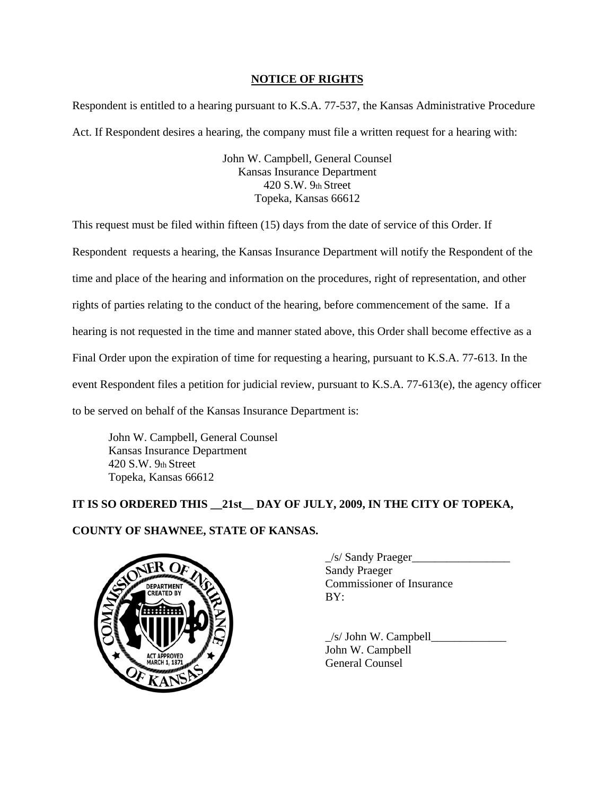## **NOTICE OF RIGHTS**

Respondent is entitled to a hearing pursuant to K.S.A. 77-537, the Kansas Administrative Procedure Act. If Respondent desires a hearing, the company must file a written request for a hearing with:

> John W. Campbell, General Counsel Kansas Insurance Department 420 S.W. 9th Street Topeka, Kansas 66612

This request must be filed within fifteen (15) days from the date of service of this Order. If Respondent requests a hearing, the Kansas Insurance Department will notify the Respondent of the time and place of the hearing and information on the procedures, right of representation, and other rights of parties relating to the conduct of the hearing, before commencement of the same. If a hearing is not requested in the time and manner stated above, this Order shall become effective as a Final Order upon the expiration of time for requesting a hearing, pursuant to K.S.A. 77-613. In the event Respondent files a petition for judicial review, pursuant to K.S.A. 77-613(e), the agency officer to be served on behalf of the Kansas Insurance Department is:

John W. Campbell, General Counsel Kansas Insurance Department 420 S.W. 9th Street Topeka, Kansas 66612

# **IT IS SO ORDERED THIS \_\_21st\_\_ DAY OF JULY, 2009, IN THE CITY OF TOPEKA, COUNTY OF SHAWNEE, STATE OF KANSAS.**



 $\angle$ s/ Sandy Praeger $\angle$ Sandy Praeger Commissioner of Insurance BY:

 $\angle$ s/ John W. Campbell John W. Campbell General Counsel